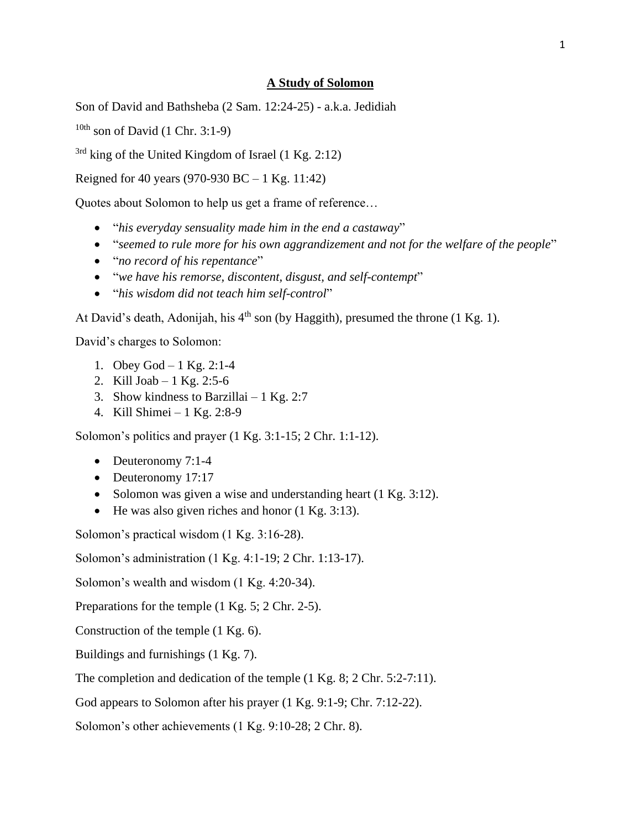#### **A Study of Solomon**

Son of David and Bathsheba (2 Sam. 12:24-25) - a.k.a. Jedidiah

 $10th$  son of David (1 Chr. 3:1-9)

 $3rd$  king of the United Kingdom of Israel (1 Kg. 2:12)

Reigned for 40 years (970-930 BC – 1 Kg. 11:42)

Quotes about Solomon to help us get a frame of reference…

- "*his everyday sensuality made him in the end a castaway*"
- "seemed to rule more for his own aggrandizement and not for the welfare of the people"
- "*no record of his repentance*"
- "*we have his remorse, discontent, disgust, and self-contempt*"
- "*his wisdom did not teach him self-control*"

At David's death, Adonijah, his  $4<sup>th</sup>$  son (by Haggith), presumed the throne (1 Kg. 1).

David's charges to Solomon:

- 1. Obey God 1 Kg. 2:1-4
- 2. Kill Joab 1 Kg. 2:5-6
- 3. Show kindness to Barzillai  $-1$  Kg. 2:7
- 4. Kill Shimei 1 Kg. 2:8-9

Solomon's politics and prayer (1 Kg. 3:1-15; 2 Chr. 1:1-12).

- Deuteronomy 7:1-4
- Deuteronomy 17:17
- Solomon was given a wise and understanding heart (1 Kg. 3:12).
- He was also given riches and honor  $(1 \text{ Kg. } 3:13)$ .

Solomon's practical wisdom (1 Kg. 3:16-28).

Solomon's administration (1 Kg. 4:1-19; 2 Chr. 1:13-17).

Solomon's wealth and wisdom (1 Kg. 4:20-34).

Preparations for the temple (1 Kg. 5; 2 Chr. 2-5).

Construction of the temple (1 Kg. 6).

Buildings and furnishings (1 Kg. 7).

The completion and dedication of the temple  $(1 \text{ Kg. } 8; 2 \text{ Chr. } 5:2-7:11)$ .

God appears to Solomon after his prayer (1 Kg. 9:1-9; Chr. 7:12-22).

Solomon's other achievements (1 Kg. 9:10-28; 2 Chr. 8).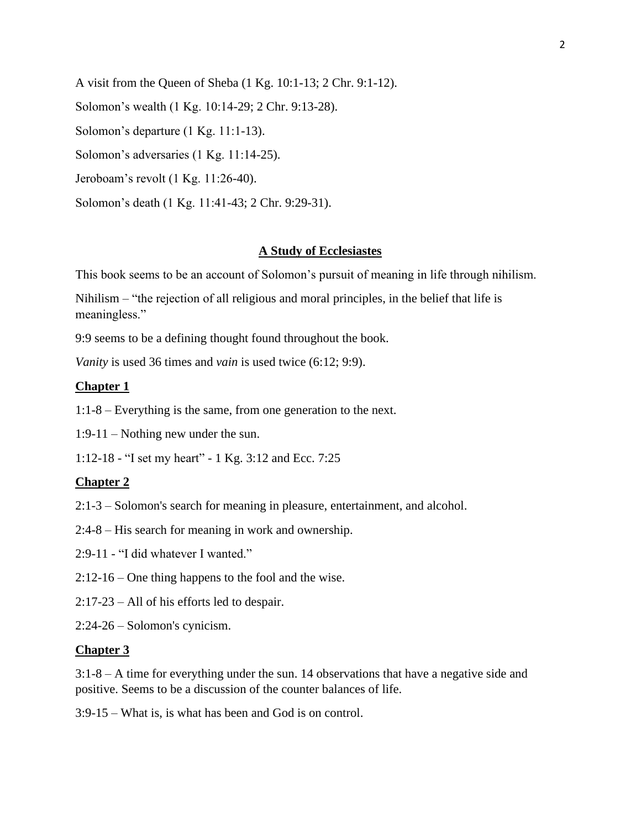A visit from the Queen of Sheba (1 Kg. 10:1-13; 2 Chr. 9:1-12). Solomon's wealth (1 Kg. 10:14-29; 2 Chr. 9:13-28). Solomon's departure (1 Kg. 11:1-13). Solomon's adversaries (1 Kg. 11:14-25). Jeroboam's revolt (1 Kg. 11:26-40). Solomon's death (1 Kg. 11:41-43; 2 Chr. 9:29-31).

#### **A Study of Ecclesiastes**

This book seems to be an account of Solomon's pursuit of meaning in life through nihilism.

Nihilism – "the rejection of all religious and moral principles, in the belief that life is meaningless."

9:9 seems to be a defining thought found throughout the book.

*Vanity* is used 36 times and *vain* is used twice (6:12; 9:9).

#### **Chapter 1**

1:1-8 – Everything is the same, from one generation to the next.

1:9-11 – Nothing new under the sun.

1:12-18 - "I set my heart" - 1 Kg. 3:12 and Ecc. 7:25

#### **Chapter 2**

- 2:1-3 Solomon's search for meaning in pleasure, entertainment, and alcohol.
- 2:4-8 His search for meaning in work and ownership.
- 2:9-11 "I did whatever I wanted."
- 2:12-16 One thing happens to the fool and the wise.
- 2:17-23 All of his efforts led to despair.

2:24-26 – Solomon's cynicism.

#### **Chapter 3**

3:1-8 – A time for everything under the sun. 14 observations that have a negative side and positive. Seems to be a discussion of the counter balances of life.

3:9-15 – What is, is what has been and God is on control.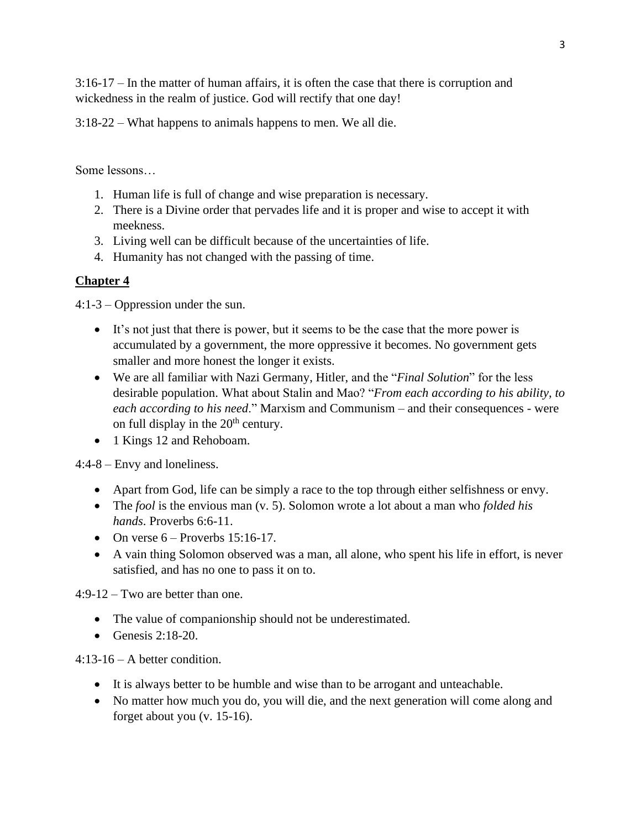3:16-17 – In the matter of human affairs, it is often the case that there is corruption and wickedness in the realm of justice. God will rectify that one day!

3:18-22 – What happens to animals happens to men. We all die.

Some lessons…

- 1. Human life is full of change and wise preparation is necessary.
- 2. There is a Divine order that pervades life and it is proper and wise to accept it with meekness.
- 3. Living well can be difficult because of the uncertainties of life.
- 4. Humanity has not changed with the passing of time.

# **Chapter 4**

4:1-3 – Oppression under the sun.

- It's not just that there is power, but it seems to be the case that the more power is accumulated by a government, the more oppressive it becomes. No government gets smaller and more honest the longer it exists.
- We are all familiar with Nazi Germany, Hitler, and the "*Final Solution*" for the less desirable population. What about Stalin and Mao? "*From each according to his ability, to each according to his need*." Marxism and Communism – and their consequences - were on full display in the  $20<sup>th</sup>$  century.
- 1 Kings 12 and Rehoboam.

4:4-8 – Envy and loneliness.

- Apart from God, life can be simply a race to the top through either selfishness or envy.
- The *fool* is the envious man (v. 5). Solomon wrote a lot about a man who *folded his hands*. Proverbs 6:6-11.
- On verse  $6$  Proverbs 15:16-17.
- A vain thing Solomon observed was a man, all alone, who spent his life in effort, is never satisfied, and has no one to pass it on to.

4:9-12 – Two are better than one.

- The value of companionship should not be underestimated.
- Genesis  $2:18-20$ .

4:13-16 – A better condition.

- It is always better to be humble and wise than to be arrogant and unteachable.
- No matter how much you do, you will die, and the next generation will come along and forget about you (v. 15-16).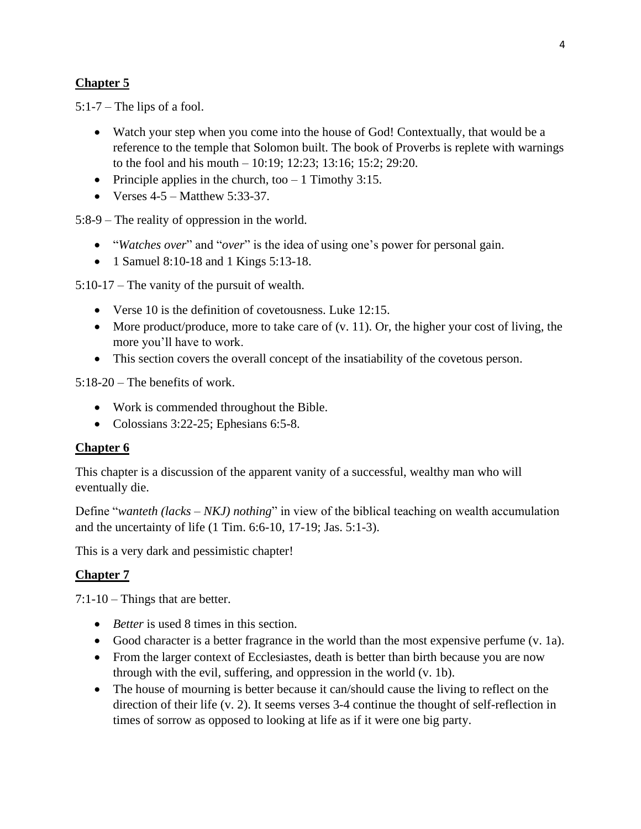## **Chapter 5**

 $5:1-7$  – The lips of a fool.

- Watch your step when you come into the house of God! Contextually, that would be a reference to the temple that Solomon built. The book of Proverbs is replete with warnings to the fool and his mouth – 10:19; 12:23; 13:16; 15:2; 29:20.
- Principle applies in the church, too  $-1$  Timothy 3:15.
- Verses  $4-5$  Matthew 5:33-37.

5:8-9 – The reality of oppression in the world.

- "*Watches over*" and "*over*" is the idea of using one's power for personal gain.
- 1 Samuel 8:10-18 and 1 Kings 5:13-18.

5:10-17 – The vanity of the pursuit of wealth.

- Verse 10 is the definition of covetousness. Luke 12:15.
- More product/produce, more to take care of  $(v, 11)$ . Or, the higher your cost of living, the more you'll have to work.
- This section covers the overall concept of the insatiability of the coverous person.

5:18-20 – The benefits of work.

- Work is commended throughout the Bible.
- Colossians 3:22-25; Ephesians 6:5-8.

### **Chapter 6**

This chapter is a discussion of the apparent vanity of a successful, wealthy man who will eventually die.

Define "*wanteth (lacks – NKJ) nothing*" in view of the biblical teaching on wealth accumulation and the uncertainty of life (1 Tim. 6:6-10, 17-19; Jas. 5:1-3).

This is a very dark and pessimistic chapter!

### **Chapter 7**

7:1-10 – Things that are better.

- *Better* is used 8 times in this section.
- Good character is a better fragrance in the world than the most expensive perfume (v. 1a).
- From the larger context of Ecclesiastes, death is better than birth because you are now through with the evil, suffering, and oppression in the world (v. 1b).
- The house of mourning is better because it can/should cause the living to reflect on the direction of their life (v. 2). It seems verses 3-4 continue the thought of self-reflection in times of sorrow as opposed to looking at life as if it were one big party.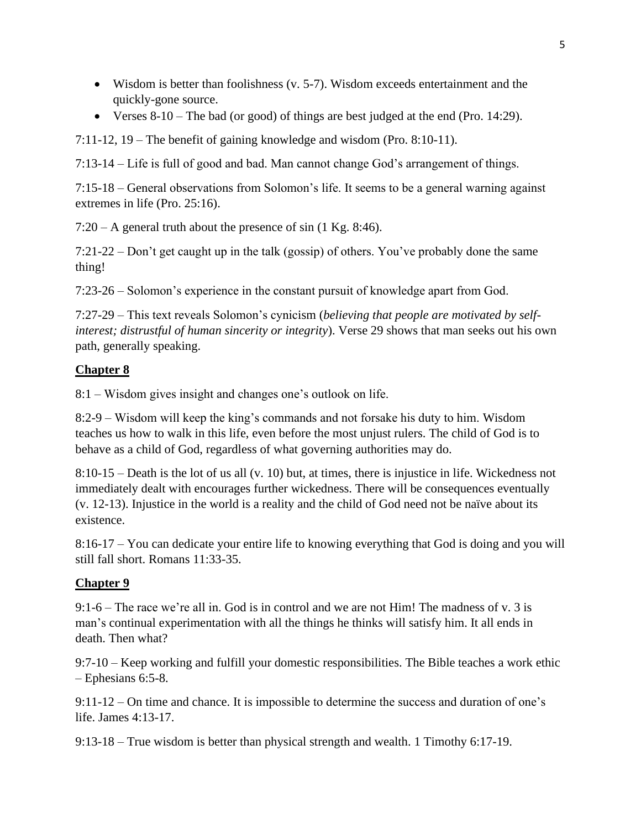- Wisdom is better than foolishness (v. 5-7). Wisdom exceeds entertainment and the quickly-gone source.
- Verses  $8-10$  The bad (or good) of things are best judged at the end (Pro. 14:29).

7:11-12, 19 – The benefit of gaining knowledge and wisdom (Pro. 8:10-11).

7:13-14 – Life is full of good and bad. Man cannot change God's arrangement of things.

7:15-18 – General observations from Solomon's life. It seems to be a general warning against extremes in life (Pro. 25:16).

7:20 – A general truth about the presence of sin (1 Kg. 8:46).

7:21-22 – Don't get caught up in the talk (gossip) of others. You've probably done the same thing!

7:23-26 – Solomon's experience in the constant pursuit of knowledge apart from God.

7:27-29 – This text reveals Solomon's cynicism (*believing that people are motivated by selfinterest; distrustful of human sincerity or integrity*). Verse 29 shows that man seeks out his own path, generally speaking.

## **Chapter 8**

8:1 – Wisdom gives insight and changes one's outlook on life.

8:2-9 – Wisdom will keep the king's commands and not forsake his duty to him. Wisdom teaches us how to walk in this life, even before the most unjust rulers. The child of God is to behave as a child of God, regardless of what governing authorities may do.

8:10-15 – Death is the lot of us all (v. 10) but, at times, there is injustice in life. Wickedness not immediately dealt with encourages further wickedness. There will be consequences eventually (v. 12-13). Injustice in the world is a reality and the child of God need not be naïve about its existence.

8:16-17 – You can dedicate your entire life to knowing everything that God is doing and you will still fall short. Romans 11:33-35.

### **Chapter 9**

9:1-6 – The race we're all in. God is in control and we are not Him! The madness of v. 3 is man's continual experimentation with all the things he thinks will satisfy him. It all ends in death. Then what?

9:7-10 – Keep working and fulfill your domestic responsibilities. The Bible teaches a work ethic – Ephesians 6:5-8.

9:11-12 – On time and chance. It is impossible to determine the success and duration of one's life. James 4:13-17.

9:13-18 – True wisdom is better than physical strength and wealth. 1 Timothy 6:17-19.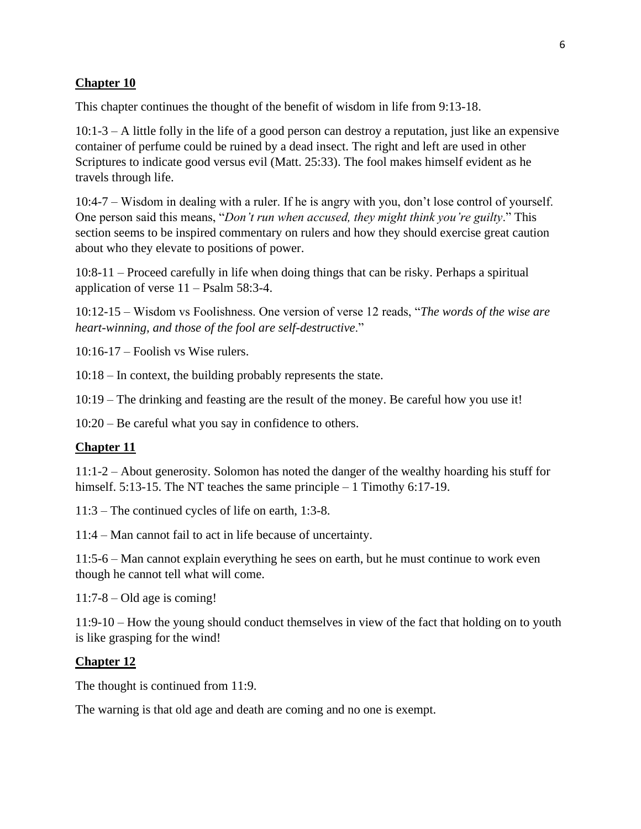### **Chapter 10**

This chapter continues the thought of the benefit of wisdom in life from 9:13-18.

10:1-3 – A little folly in the life of a good person can destroy a reputation, just like an expensive container of perfume could be ruined by a dead insect. The right and left are used in other Scriptures to indicate good versus evil (Matt. 25:33). The fool makes himself evident as he travels through life.

10:4-7 – Wisdom in dealing with a ruler. If he is angry with you, don't lose control of yourself. One person said this means, "*Don't run when accused, they might think you're guilty*." This section seems to be inspired commentary on rulers and how they should exercise great caution about who they elevate to positions of power.

10:8-11 – Proceed carefully in life when doing things that can be risky. Perhaps a spiritual application of verse 11 – Psalm 58:3-4.

10:12-15 – Wisdom vs Foolishness. One version of verse 12 reads, "*The words of the wise are heart-winning, and those of the fool are self-destructive*."

10:16-17 – Foolish vs Wise rulers.

10:18 – In context, the building probably represents the state.

10:19 – The drinking and feasting are the result of the money. Be careful how you use it!

10:20 – Be careful what you say in confidence to others.

### **Chapter 11**

11:1-2 – About generosity. Solomon has noted the danger of the wealthy hoarding his stuff for himself. 5:13-15. The NT teaches the same principle – 1 Timothy 6:17-19.

11:3 – The continued cycles of life on earth, 1:3-8.

11:4 – Man cannot fail to act in life because of uncertainty.

11:5-6 – Man cannot explain everything he sees on earth, but he must continue to work even though he cannot tell what will come.

11:7-8 – Old age is coming!

11:9-10 – How the young should conduct themselves in view of the fact that holding on to youth is like grasping for the wind!

#### **Chapter 12**

The thought is continued from 11:9.

The warning is that old age and death are coming and no one is exempt.